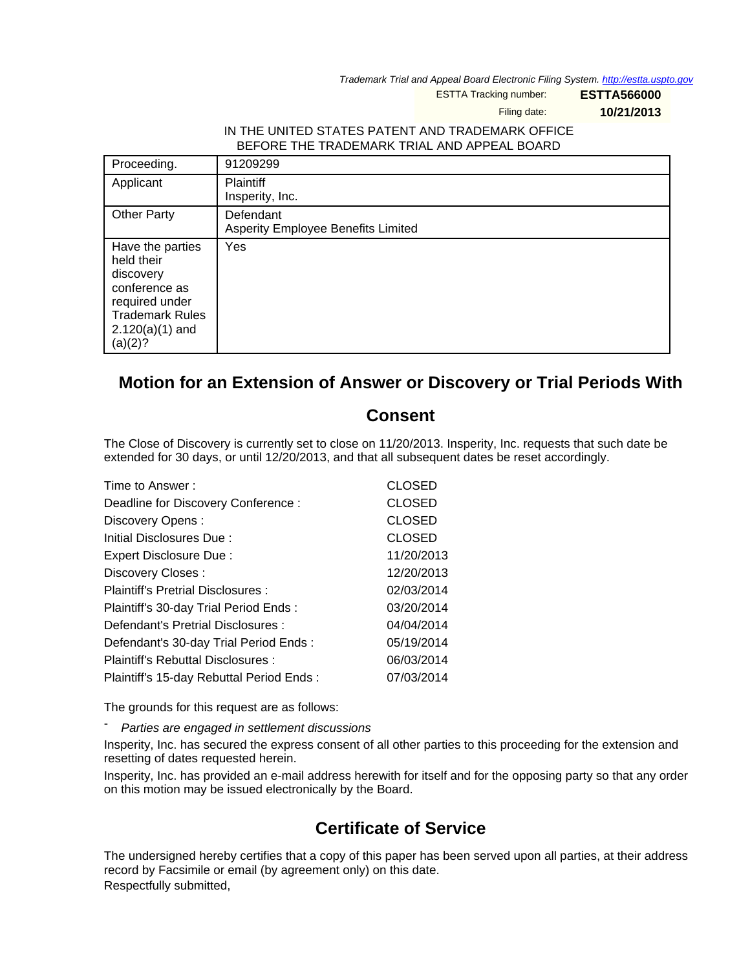Trademark Trial and Appeal Board Electronic Filing System. <http://estta.uspto.gov>

ESTTA Tracking number: **ESTTA566000**

Filing date: **10/21/2013**

## IN THE UNITED STATES PATENT AND TRADEMARK OFFICE BEFORE THE TRADEMARK TRIAL AND APPEAL BOARD

| Proceeding.                                                                                                                              | 91209299                                        |
|------------------------------------------------------------------------------------------------------------------------------------------|-------------------------------------------------|
| Applicant                                                                                                                                | <b>Plaintiff</b><br>Insperity, Inc.             |
| <b>Other Party</b>                                                                                                                       | Defendant<br>Asperity Employee Benefits Limited |
| Have the parties<br>held their<br>discovery<br>conference as<br>required under<br><b>Trademark Rules</b><br>$2.120(a)(1)$ and<br>(a)(2)? | Yes                                             |

## **Motion for an Extension of Answer or Discovery or Trial Periods With**

## **Consent**

The Close of Discovery is currently set to close on 11/20/2013. Insperity, Inc. requests that such date be extended for 30 days, or until 12/20/2013, and that all subsequent dates be reset accordingly.

| Time to Answer:                          | <b>CLOSED</b> |
|------------------------------------------|---------------|
| Deadline for Discovery Conference :      | <b>CLOSED</b> |
| Discovery Opens:                         | <b>CLOSED</b> |
| Initial Disclosures Due:                 | <b>CLOSED</b> |
| Expert Disclosure Due:                   | 11/20/2013    |
| Discovery Closes:                        | 12/20/2013    |
| Plaintiff's Pretrial Disclosures:        | 02/03/2014    |
| Plaintiff's 30-day Trial Period Ends:    | 03/20/2014    |
| Defendant's Pretrial Disclosures :       | 04/04/2014    |
| Defendant's 30-day Trial Period Ends:    | 05/19/2014    |
| Plaintiff's Rebuttal Disclosures :       | 06/03/2014    |
| Plaintiff's 15-day Rebuttal Period Ends: | 07/03/2014    |

The grounds for this request are as follows:

Parties are engaged in settlement discussions

Insperity, Inc. has secured the express consent of all other parties to this proceeding for the extension and resetting of dates requested herein.

Insperity, Inc. has provided an e-mail address herewith for itself and for the opposing party so that any order on this motion may be issued electronically by the Board.

## **Certificate of Service**

The undersigned hereby certifies that a copy of this paper has been served upon all parties, at their address record by Facsimile or email (by agreement only) on this date. Respectfully submitted,